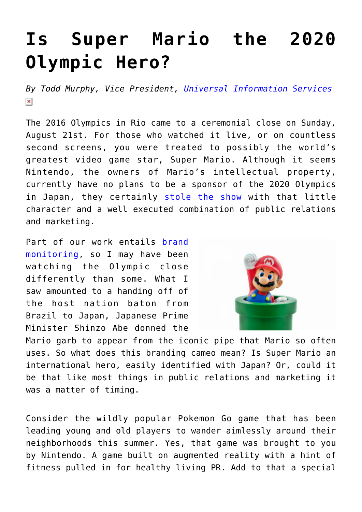## **[Is Super Mario the 2020](https://www.commpro.biz/is-super-mario-the-2020-olympic-hero/) [Olympic Hero?](https://www.commpro.biz/is-super-mario-the-2020-olympic-hero/)**

*By Todd Murphy, Vice President, [Universal Information Services](https://www.universal-info.com/)*  $\pmb{\times}$ 

The 2016 Olympics in Rio came to a ceremonial close on Sunday, August 21st. For those who watched it live, or on countless second screens, you were treated to possibly the world's greatest video game star, Super Mario. Although it seems Nintendo, the owners of Mario's intellectual property, currently have no plans to be a sponsor of the 2020 Olympics in Japan, they certainly [stole the show](https://money.cnn.com/2016/08/22/technology/nintendo-mario-olympics-rio-closing-ceremony/) with that little character and a well executed combination of public relations and marketing.

Part of our work entails [brand](https://universal-info.com/pr-measurement/) [monitoring,](https://universal-info.com/pr-measurement/) so I may have been watching the Olympic close differently than some. What I saw amounted to a handing off of the host nation baton from Brazil to Japan, Japanese Prime Minister Shinzo Abe donned the



Mario garb to appear from the iconic pipe that Mario so often uses. So what does this branding cameo mean? Is Super Mario an international hero, easily identified with Japan? Or, could it be that like most things in public relations and marketing it was a matter of timing.

Consider the wildly popular Pokemon Go game that has been leading young and old players to wander aimlessly around their neighborhoods this summer. Yes, that game was brought to you by Nintendo. A game built on augmented reality with a hint of fitness pulled in for healthy living PR. Add to that a special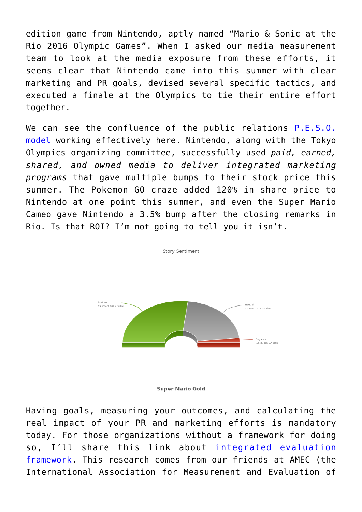edition game from Nintendo, aptly named "Mario & Sonic at the Rio 2016 Olympic Games". When I asked our media measurement team to look at the media exposure from these efforts, it seems clear that Nintendo came into this summer with clear marketing and PR goals, devised several specific tactics, and executed a finale at the Olympics to tie their entire effort together.

We can see the confluence of the public relations [P.E.S.O.](https://mashable.com/2014/12/05/public-relations-industry/#G6BNG__PKsqt) [model](https://mashable.com/2014/12/05/public-relations-industry/#G6BNG__PKsqt) working effectively here. Nintendo, along with the Tokyo Olympics organizing committee, successfully used *paid, earned, shared, and owned media to deliver integrated marketing programs* that gave multiple bumps to their stock price this summer. The Pokemon GO craze added 120% in share price to Nintendo at one point this summer, and even the Super Mario Cameo gave Nintendo a 3.5% bump after the closing remarks in Rio. Is that ROI? I'm not going to tell you it isn't.

Story Sentiment

Positive<br>53.72% 2.669 Articles Neutral<br>42.65% 2.119 Articles Negative<br>3.62% 180 Articles

**Super Mario Gold** 

Having goals, measuring your outcomes, and calculating the real impact of your PR and marketing efforts is mandatory today. For those organizations without a framework for doing so, I'll share this link about [integrated evaluation](https://amecorg.com/amecframework/) [framework](https://amecorg.com/amecframework/). This research comes from our friends at AMEC (the International Association for Measurement and Evaluation of